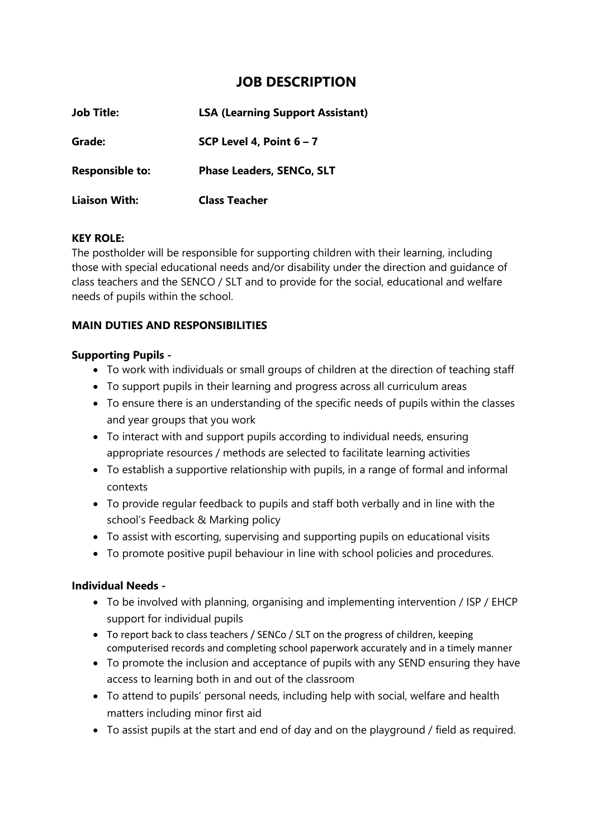# **JOB DESCRIPTION**

| <b>Job Title:</b>      | <b>LSA (Learning Support Assistant)</b> |  |
|------------------------|-----------------------------------------|--|
| Grade:                 | SCP Level 4, Point $6 - 7$              |  |
| <b>Responsible to:</b> | <b>Phase Leaders, SENCo, SLT</b>        |  |
| <b>Liaison With:</b>   | <b>Class Teacher</b>                    |  |

#### **KEY ROLE:**

The postholder will be responsible for supporting children with their learning, including those with special educational needs and/or disability under the direction and guidance of class teachers and the SENCO / SLT and to provide for the social, educational and welfare needs of pupils within the school.

## **MAIN DUTIES AND RESPONSIBILITIES**

#### **Supporting Pupils -**

- To work with individuals or small groups of children at the direction of teaching staff
- To support pupils in their learning and progress across all curriculum areas
- To ensure there is an understanding of the specific needs of pupils within the classes and year groups that you work
- To interact with and support pupils according to individual needs, ensuring appropriate resources / methods are selected to facilitate learning activities
- To establish a supportive relationship with pupils, in a range of formal and informal contexts
- To provide regular feedback to pupils and staff both verbally and in line with the school's Feedback & Marking policy
- To assist with escorting, supervising and supporting pupils on educational visits
- To promote positive pupil behaviour in line with school policies and procedures.

## **Individual Needs -**

- To be involved with planning, organising and implementing intervention / ISP / EHCP support for individual pupils
- To report back to class teachers / SENCo / SLT on the progress of children, keeping computerised records and completing school paperwork accurately and in a timely manner
- To promote the inclusion and acceptance of pupils with any SEND ensuring they have access to learning both in and out of the classroom
- To attend to pupils' personal needs, including help with social, welfare and health matters including minor first aid
- To assist pupils at the start and end of day and on the playground / field as required.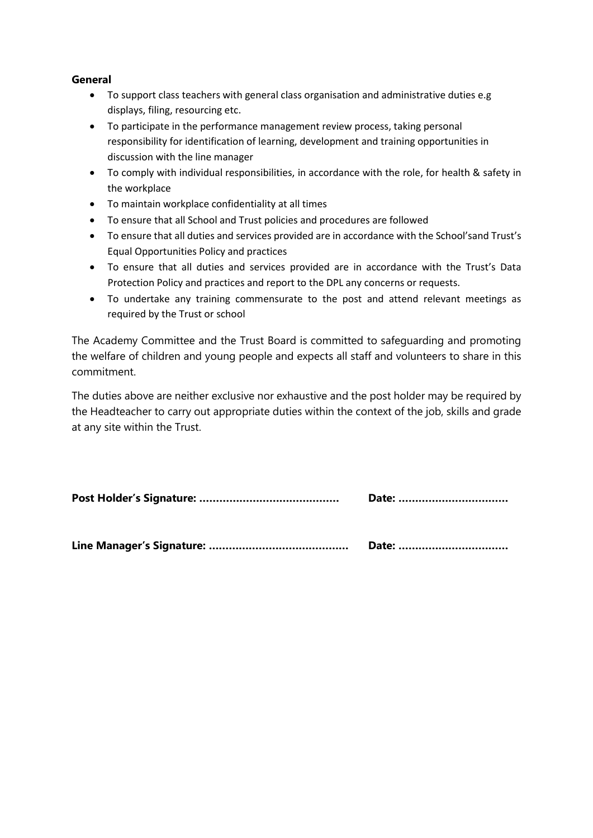#### **General**

- To support class teachers with general class organisation and administrative duties e.g displays, filing, resourcing etc.
- To participate in the performance management review process, taking personal responsibility for identification of learning, development and training opportunities in discussion with the line manager
- To comply with individual responsibilities, in accordance with the role, for health & safety in the workplace
- To maintain workplace confidentiality at all times
- To ensure that all School and Trust policies and procedures are followed
- To ensure that all duties and services provided are in accordance with the School'sand Trust's Equal Opportunities Policy and practices
- To ensure that all duties and services provided are in accordance with the Trust's Data Protection Policy and practices and report to the DPL any concerns or requests.
- To undertake any training commensurate to the post and attend relevant meetings as required by the Trust or school

The Academy Committee and the Trust Board is committed to safeguarding and promoting the welfare of children and young people and expects all staff and volunteers to share in this commitment.

The duties above are neither exclusive nor exhaustive and the post holder may be required by the Headteacher to carry out appropriate duties within the context of the job, skills and grade at any site within the Trust.

**Post Holder's Signature: …………………………………… Date: ……………………………**

**Line Manager's Signature: …………………………………… Date: ……………………………**